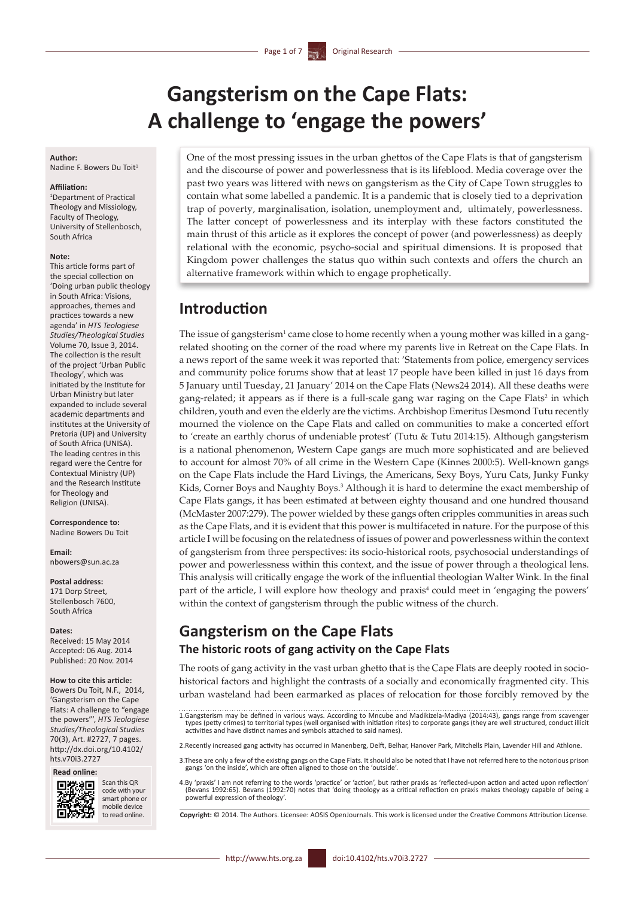# **Gangsterism on the Cape Flats: A challenge to 'engage the powers'**

#### **Author:** Nadine F. Bowers Du Toit<sup>1</sup>

#### **Affiliation:**

1 Department of Practical Theology and Missiology, Faculty of Theology, University of Stellenbosch, South Africa

#### **Note:**

This article forms part of the special collection on 'Doing urban public theology in South Africa: Visions, approaches, themes and practices towards a new agenda' in *HTS Teologiese Studies/Theological Studies* Volume 70, Issue 3, 2014. The collection is the result of the project 'Urban Public Theology', which was initiated by the Institute for Urban Ministry but later expanded to include several academic departments and institutes at the University of Pretoria (UP) and University of South Africa (UNISA). The leading centres in this regard were the Centre for Contextual Ministry (UP) and the Research Institute for Theology and Religion (UNISA).

**Correspondence to:** Nadine Bowers Du Toit

**Email:** [nbowers@sun.ac.za](mailto:nbowers%40sun.ac.za?subject=)

**Postal address:** 171 Dorp Street

Stellenbosch 7600, South Africa

**Dates:** Received: 15 May 2014

Accepted: 06 Aug. 2014 Published: 20 Nov. 2014

#### **How to cite this article:**

Bowers Du Toit, N.F., 2014, 'Gangsterism on the Cape Flats: A challenge to "engage the powers"', *HTS Teologiese Studies/Theological Studies*  70(3), Art. #2727, 7 pages. [http://dx.doi.org/10.4102/](http://dx.doi.org/10.4102/hts.v70i3.2727) [hts.v70i3.2727](http://dx.doi.org/10.4102/hts.v70i3.2727)

**Read online:**



Scan this OR code with your smart phone or mobile device to read online.

One of the most pressing issues in the urban ghettos of the Cape Flats is that of gangsterism and the discourse of power and powerlessness that is its lifeblood. Media coverage over the past two years was littered with news on gangsterism as the City of Cape Town struggles to contain what some labelled a pandemic. It is a pandemic that is closely tied to a deprivation trap of poverty, marginalisation, isolation, unemployment and, ultimately, powerlessness. The latter concept of powerlessness and its interplay with these factors constituted the main thrust of this article as it explores the concept of power (and powerlessness) as deeply relational with the economic, psycho-social and spiritual dimensions. It is proposed that Kingdom power challenges the status quo within such contexts and offers the church an alternative framework within which to engage prophetically.

# **Introduction**

The issue of gangsterism<sup>1</sup> came close to home recently when a young mother was killed in a gangrelated shooting on the corner of the road where my parents live in Retreat on the Cape Flats. In a news report of the same week it was reported that: 'Statements from police, emergency services and community police forums show that at least 17 people have been killed in just 16 days from 5 January until Tuesday, 21 January' 2014 on the Cape Flats (News24 2014). All these deaths were gang-related; it appears as if there is a full-scale gang war raging on the Cape Flats<sup>2</sup> in which children, youth and even the elderly are the victims. Archbishop Emeritus Desmond Tutu recently mourned the violence on the Cape Flats and called on communities to make a concerted effort to 'create an earthly chorus of undeniable protest' (Tutu & Tutu 2014:15). Although gangsterism is a national phenomenon, Western Cape gangs are much more sophisticated and are believed to account for almost 70% of all crime in the Western Cape (Kinnes 2000:5). Well-known gangs on the Cape Flats include the Hard Livings, the Americans, Sexy Boys, Yuru Cats, Junky Funky Kids, Corner Boys and Naughty Boys.<sup>3</sup> Although it is hard to determine the exact membership of Cape Flats gangs, it has been estimated at between eighty thousand and one hundred thousand (McMaster 2007:279). The power wielded by these gangs often cripples communities in areas such as the Cape Flats, and it is evident that this power is multifaceted in nature. For the purpose of this article I will be focusing on the relatedness of issues of power and powerlessness within the context of gangsterism from three perspectives: its socio-historical roots, psychosocial understandings of power and powerlessness within this context, and the issue of power through a theological lens. This analysis will critically engage the work of the influential theologian Walter Wink. In the final part of the article, I will explore how theology and praxis<sup>4</sup> could meet in 'engaging the powers' within the context of gangsterism through the public witness of the church.

## **Gangsterism on the Cape Flats The historic roots of gang activity on the Cape Flats**

The roots of gang activity in the vast urban ghetto that is the Cape Flats are deeply rooted in sociohistorical factors and highlight the contrasts of a socially and economically fragmented city. This urban wasteland had been earmarked as places of relocation for those forcibly removed by the

1.Gangsterism may be defined in various ways. According to Mncube and Madikizela-Madiya (2014:43), gangs range from scavenger types (petty crimes) to territorial types (well organised with initiation rites) to corporate gangs (they are well structured, conduct illicit activities and have distinct names and symbols attached to said names).

2.Recently increased gang activity has occurred in Manenberg, Delft, Belhar, Hanover Park, Mitchells Plain, Lavender Hill and Athlone.

3.These are only a few of the existing gangs on the Cape Flats. It should also be noted that I have not referred here to the notorious prison gangs 'on the inside', which are often aligned to those on the 'outside'.

4.By 'praxis' I am not referring to the words 'practice' or 'action', but rather praxis as 'reflected-upon action and acted upon reflection'<br>(Bevans 1992:65). Bevans (1992:70) notes that 'doing theology as a critical refle powerful expression of theology'.

**Copyright:** © 2014. The Authors. Licensee: AOSIS OpenJournals. This work is licensed under the Creative Commons Attribution License.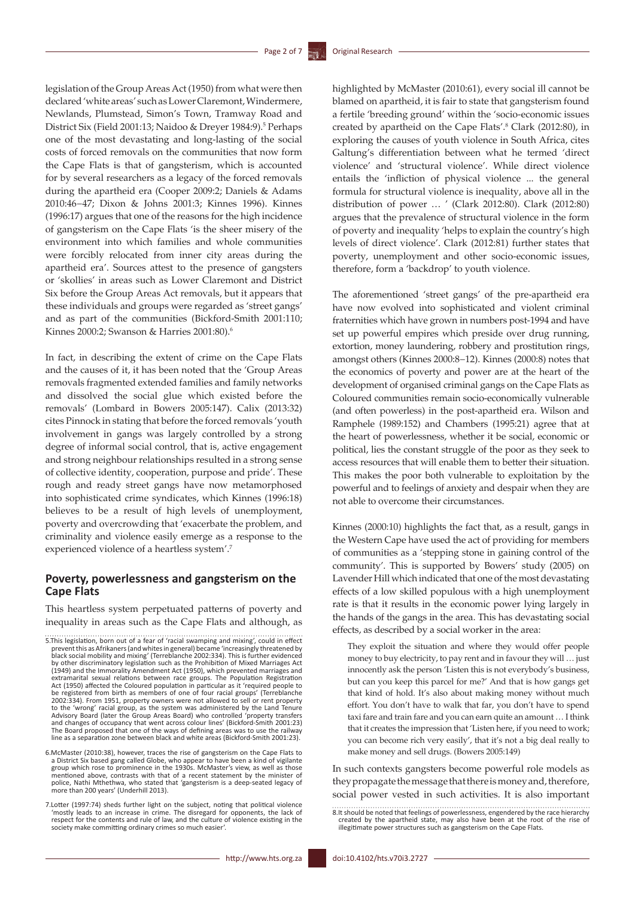legislation of the Group Areas Act (1950) from what were then declared 'white areas' such as Lower Claremont, Windermere, Newlands, Plumstead, Simon's Town, Tramway Road and District Six (Field 2001:13; Naidoo & Dreyer 1984:9).<sup>5</sup> Perhaps one of the most devastating and long-lasting of the social costs of forced removals on the communities that now form the Cape Flats is that of gangsterism, which is accounted for by several researchers as a legacy of the forced removals during the apartheid era (Cooper 2009:2; Daniels & Adams 2010:46−47; Dixon & Johns 2001:3; Kinnes 1996). Kinnes (1996:17) argues that one of the reasons for the high incidence of gangsterism on the Cape Flats 'is the sheer misery of the environment into which families and whole communities were forcibly relocated from inner city areas during the apartheid era'. Sources attest to the presence of gangsters or 'skollies' in areas such as Lower Claremont and District Six before the Group Areas Act removals, but it appears that these individuals and groups were regarded as 'street gangs' and as part of the communities (Bickford-Smith 2001:110; Kinnes 2000:2; Swanson & Harries 2001:80).6

In fact, in describing the extent of crime on the Cape Flats and the causes of it, it has been noted that the 'Group Areas removals fragmented extended families and family networks and dissolved the social glue which existed before the removals' (Lombard in Bowers 2005:147). Calix (2013:32) cites Pinnock in stating that before the forced removals 'youth involvement in gangs was largely controlled by a strong degree of informal social control, that is, active engagement and strong neighbour relationships resulted in a strong sense of collective identity, cooperation, purpose and pride'. These rough and ready street gangs have now metamorphosed into sophisticated crime syndicates, which Kinnes (1996:18) believes to be a result of high levels of unemployment, poverty and overcrowding that 'exacerbate the problem, and criminality and violence easily emerge as a response to the experienced violence of a heartless system'.7

### **Poverty, powerlessness and gangsterism on the Cape Flats**

This heartless system perpetuated patterns of poverty and inequality in areas such as the Cape Flats and although, as

5.This legislation, born out of a fear of 'racial swamping and mixing', could in effect prevent this as Afrikaners (and whites in general) became 'increasingly threatened by black social mobility and mixing' (Terreblanche 2002:334). This is further evidenced by other discriminatory legislation such as the Prohibition of Mixed Marriages Act (1949) and the Immorality Amendment Act (1950), which prevented marriages and extramarital sexual relations between race groups. The Population Registration<br>Act (1950) affected the Coloured population in particular as it 'required people to<br>be registered from birth as members of one of four racial g to the 'wrong' racial group, as the system was administered by the Land Tenure Advisory Board (later the Group Areas Board) who controlled 'property transfers and changes of occupancy that went across colour lines' (Bickford-Smith 2001:23) The Board proposed that one of the ways of defining areas was to use the railway line as a separation zone between black and white areas (Bickford-Smith 2001:23).

- 6. McMaster (2010:38), however, traces the rise of gangsterism on the Cape Flats to a District Six based gang called Globe, who appear to have been a kind of vigilante group which rose to prominence in the 1930s. McMaster' police, Nathi Mthethwa, who stated that 'gangsterism is a deep-seated legacy of more than 200 years' (Underhill 2013).
- 7.Lotter (1997:74) sheds further light on the subject, noting that political violence 'mostly leads to an increase in crime. The disregard for opponents, the lack of respect for the contents and rule of law, and the culture of violence existing in the society make committing ordinary crimes so much easier'.

highlighted by McMaster (2010:61), every social ill cannot be blamed on apartheid, it is fair to state that gangsterism found a fertile 'breeding ground' within the 'socio-economic issues created by apartheid on the Cape Flats'.<sup>8</sup> Clark (2012:80), in exploring the causes of youth violence in South Africa, cites Galtung's differentiation between what he termed 'direct violence' and 'structural violence'. While direct violence entails the 'infliction of physical violence ... the general formula for structural violence is inequality, above all in the distribution of power … ' (Clark 2012:80). Clark (2012:80) argues that the prevalence of structural violence in the form of poverty and inequality 'helps to explain the country's high levels of direct violence'. Clark (2012:81) further states that poverty, unemployment and other socio-economic issues, therefore, form a 'backdrop' to youth violence.

The aforementioned 'street gangs' of the pre-apartheid era have now evolved into sophisticated and violent criminal fraternities which have grown in numbers post-1994 and have set up powerful empires which preside over drug running, extortion, money laundering, robbery and prostitution rings, amongst others (Kinnes 2000:8−12). Kinnes (2000:8) notes that the economics of poverty and power are at the heart of the development of organised criminal gangs on the Cape Flats as Coloured communities remain socio-economically vulnerable (and often powerless) in the post-apartheid era. Wilson and Ramphele (1989:152) and Chambers (1995:21) agree that at the heart of powerlessness, whether it be social, economic or political, lies the constant struggle of the poor as they seek to access resources that will enable them to better their situation. This makes the poor both vulnerable to exploitation by the powerful and to feelings of anxiety and despair when they are not able to overcome their circumstances.

Kinnes (2000:10) highlights the fact that, as a result, gangs in the Western Cape have used the act of providing for members of communities as a 'stepping stone in gaining control of the community'. This is supported by Bowers' study (2005) on Lavender Hill which indicated that one of the most devastating effects of a low skilled populous with a high unemployment rate is that it results in the economic power lying largely in the hands of the gangs in the area. This has devastating social effects, as described by a social worker in the area:

They exploit the situation and where they would offer people money to buy electricity, to pay rent and in favour they will … just innocently ask the person 'Listen this is not everybody's business, but can you keep this parcel for me?' And that is how gangs get that kind of hold. It's also about making money without much effort. You don't have to walk that far, you don't have to spend taxi fare and train fare and you can earn quite an amount … I think that it creates the impression that 'Listen here, if you need to work; you can become rich very easily', that it's not a big deal really to make money and sell drugs. (Bowers 2005:149)

In such contexts gangsters become powerful role models as they propagate the message that there is money and, therefore, social power vested in such activities. It is also important

<sup>8.</sup>It should be noted that feelings of powerlessness, engendered by the race hierarchy created by the apartheid state, may also have been at the root of the rise of illegitimate power structures such as gangsterism on the Cape Flats.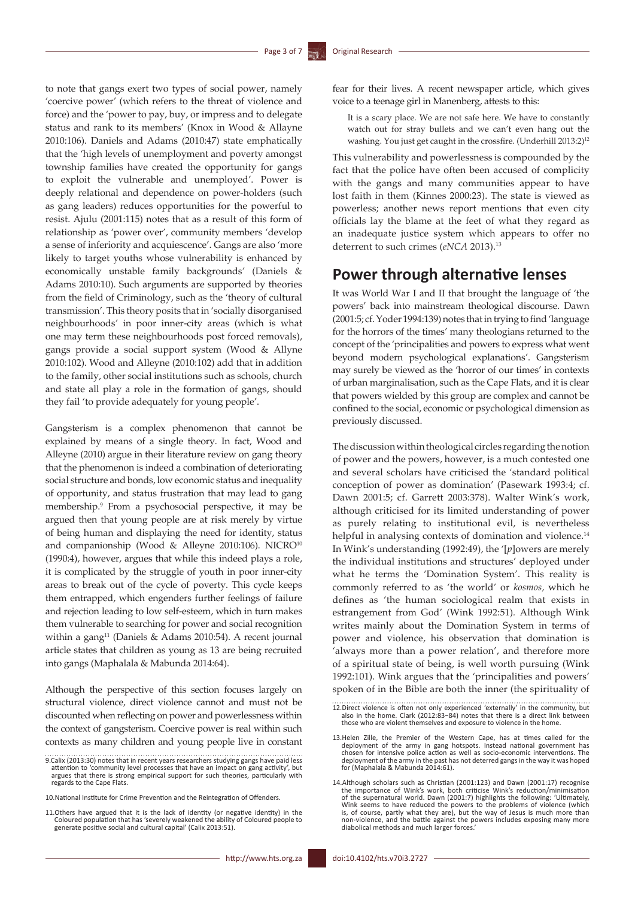to note that gangs exert two types of social power, namely 'coercive power' (which refers to the threat of violence and force) and the 'power to pay, buy, or impress and to delegate status and rank to its members' (Knox in Wood & Allayne 2010:106). Daniels and Adams (2010:47) state emphatically that the 'high levels of unemployment and poverty amongst township families have created the opportunity for gangs to exploit the vulnerable and unemployed'. Power is deeply relational and dependence on power-holders (such as gang leaders) reduces opportunities for the powerful to resist. Ajulu (2001:115) notes that as a result of this form of relationship as 'power over', community members 'develop a sense of inferiority and acquiescence'. Gangs are also 'more likely to target youths whose vulnerability is enhanced by economically unstable family backgrounds' (Daniels & Adams 2010:10). Such arguments are supported by theories from the field of Criminology, such as the 'theory of cultural transmission'. This theory posits that in 'socially disorganised neighbourhoods' in poor inner-city areas (which is what one may term these neighbourhoods post forced removals), gangs provide a social support system (Wood & Allyne 2010:102). Wood and Alleyne (2010:102) add that in addition to the family, other social institutions such as schools, church and state all play a role in the formation of gangs, should they fail 'to provide adequately for young people'.

Gangsterism is a complex phenomenon that cannot be explained by means of a single theory. In fact, Wood and Alleyne (2010) argue in their literature review on gang theory that the phenomenon is indeed a combination of deteriorating social structure and bonds, low economic status and inequality of opportunity, and status frustration that may lead to gang membership.9 From a psychosocial perspective, it may be argued then that young people are at risk merely by virtue of being human and displaying the need for identity, status and companionship (Wood & Alleyne 2010:106). NICRO<sup>10</sup> (1990:4), however, argues that while this indeed plays a role, it is complicated by the struggle of youth in poor inner-city areas to break out of the cycle of poverty. This cycle keeps them entrapped, which engenders further feelings of failure and rejection leading to low self-esteem, which in turn makes them vulnerable to searching for power and social recognition within a gang<sup>11</sup> (Daniels & Adams 2010:54). A recent journal article states that children as young as 13 are being recruited into gangs (Maphalala & Mabunda 2014:64).

Although the perspective of this section focuses largely on structural violence, direct violence cannot and must not be discounted when reflecting on power and powerlessness within the context of gangsterism. Coercive power is real within such contexts as many children and young people live in constant

9.Calix (2013:30) notes that in recent years researchers studying gangs have paid less attention to 'community level processes that have an impact on gang activity', but argues that there is strong empirical support for such theories, particularly with regards to the Cape Flats.

fear for their lives. A recent newspaper article, which gives voice to a teenage girl in Manenberg, attests to this:

It is a scary place. We are not safe here. We have to constantly watch out for stray bullets and we can't even hang out the washing. You just get caught in the crossfire. (Underhill 2013:2)12

This vulnerability and powerlessness is compounded by the fact that the police have often been accused of complicity with the gangs and many communities appear to have lost faith in them (Kinnes 2000:23). The state is viewed as powerless; another news report mentions that even city officials lay the blame at the feet of what they regard as an inadequate justice system which appears to offer no deterrent to such crimes (eNCA 2013).<sup>13</sup>

### **Power through alternative lenses**

It was World War I and II that brought the language of 'the powers' back into mainstream theological discourse. Dawn (2001:5; cf. Yoder 1994:139) notes that in trying to find 'language for the horrors of the times' many theologians returned to the concept of the 'principalities and powers to express what went beyond modern psychological explanations'. Gangsterism may surely be viewed as the 'horror of our times' in contexts of urban marginalisation, such as the Cape Flats, and it is clear that powers wielded by this group are complex and cannot be confined to the social, economic or psychological dimension as previously discussed.

The discussion within theological circles regarding the notion of power and the powers, however, is a much contested one and several scholars have criticised the 'standard political conception of power as domination' (Pasewark 1993:4; cf. Dawn 2001:5; cf. Garrett 2003:378). Walter Wink's work, although criticised for its limited understanding of power as purely relating to institutional evil, is nevertheless helpful in analysing contexts of domination and violence.<sup>14</sup> In Wink's understanding (1992:49), the '[*p*]owers are merely the individual institutions and structures' deployed under what he terms the 'Domination System'. This reality is commonly referred to as 'the world' or *kosmos,* which he defines as 'the human sociological realm that exists in estrangement from God' (Wink 1992:51)*.* Although Wink writes mainly about the Domination System in terms of power and violence, his observation that domination is 'always more than a power relation', and therefore more of a spiritual state of being, is well worth pursuing (Wink 1992:101). Wink argues that the 'principalities and powers' spoken of in the Bible are both the inner (the spirituality of

<sup>10.</sup>National Institute for Crime Prevention and the Reintegration of Offenders.

<sup>11.</sup>Others have argued that it is the lack of identity (or negative identity) in the Coloured population that has 'severely weakened the ability of Coloured people to generate positive social and cultural capital' (Calix 2013:51).

<sup>12.</sup>Direct violence is often not only experienced 'externally' in the community, but also in the home. Clark (2012:83−84) notes that there is a direct link between those who are violent themselves and exposure to violence in the home

<sup>13.</sup>Helen Zille, the Premier of the Western Cape, has at times called for the deployment of the army in gang hotspots. Instead national government has chosen for intensive police action as well as socio-economic interventions. The deployment of the army in the past has not deterred gangs in the way it was hoped for (Maphalala & Mabunda 2014:61).

<sup>14.</sup>Although scholars such as Christian (2001:123) and Dawn (2001:17) recognise the importance of Wink's work, both criticise Wink's reduction/minimisation of the supernatural world. Dawn (2001:7) highlights the following: 'Ultimately, Wink seems to have reduced the powers to the problems of violence (which is, of course, partly what they are), but the way of Jesus is much mo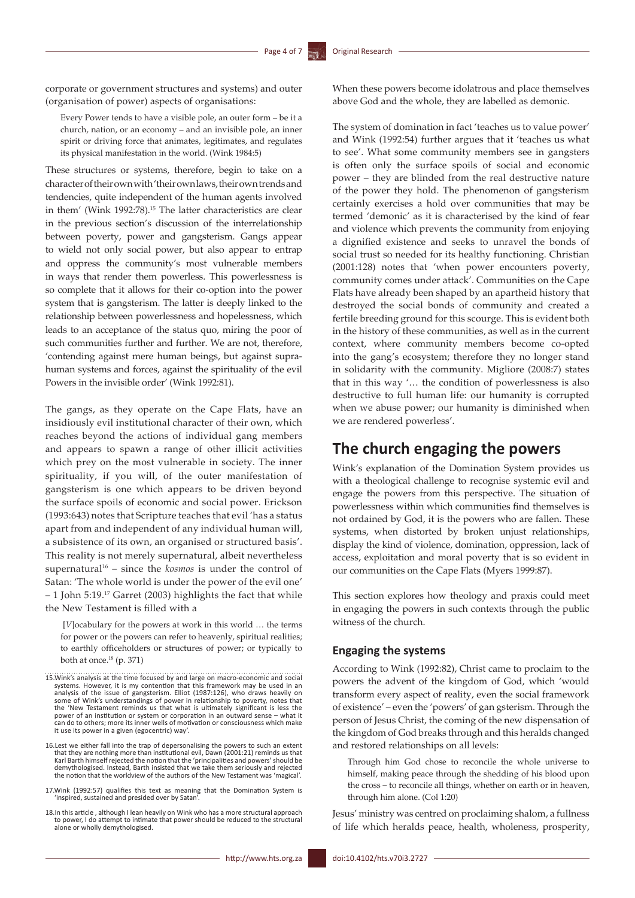corporate or government structures and systems) and outer (organisation of power) aspects of organisations:

Every Power tends to have a visible pole, an outer form – be it a church, nation, or an economy – and an invisible pole, an inner spirit or driving force that animates, legitimates, and regulates its physical manifestation in the world. (Wink 1984:5)

These structures or systems, therefore, begin to take on a character of their own with 'their own laws, their own trends and tendencies, quite independent of the human agents involved in them' (Wink 1992:78).<sup>15</sup> The latter characteristics are clear in the previous section's discussion of the interrelationship between poverty, power and gangsterism. Gangs appear to wield not only social power, but also appear to entrap and oppress the community's most vulnerable members in ways that render them powerless. This powerlessness is so complete that it allows for their co-option into the power system that is gangsterism. The latter is deeply linked to the relationship between powerlessness and hopelessness, which leads to an acceptance of the status quo, miring the poor of such communities further and further. We are not, therefore, 'contending against mere human beings, but against suprahuman systems and forces, against the spirituality of the evil Powers in the invisible order' (Wink 1992:81).

The gangs, as they operate on the Cape Flats, have an insidiously evil institutional character of their own, which reaches beyond the actions of individual gang members and appears to spawn a range of other illicit activities which prey on the most vulnerable in society. The inner spirituality, if you will, of the outer manifestation of gangsterism is one which appears to be driven beyond the surface spoils of economic and social power. Erickson (1993:643) notes that Scripture teaches that evil 'has a status apart from and independent of any individual human will, a subsistence of its own, an organised or structured basis'. This reality is not merely supernatural, albeit nevertheless supernatural16 – since the *kosmos* is under the control of Satan: 'The whole world is under the power of the evil one'  $-1$  John 5:19.<sup>17</sup> Garret (2003) highlights the fact that while the New Testament is filled with a

 [*V*]ocabulary for the powers at work in this world … the terms for power or the powers can refer to heavenly, spiritual realities; to earthly officeholders or structures of power; or typically to both at once.18 (p. 371)

- 17.Wink (1992:57) qualifies this text as meaning that the Domination System is 'inspired, sustained and presided over by Satan'.
- 18.In this article , although I lean heavily on Wink who has a more structural approach to power, I do attempt to intimate that power should be reduced to the structural alone or wholly demythologised.

When these powers become idolatrous and place themselves above God and the whole, they are labelled as demonic.

The system of domination in fact 'teaches us to value power' and Wink (1992:54) further argues that it 'teaches us what to see'. What some community members see in gangsters is often only the surface spoils of social and economic power – they are blinded from the real destructive nature of the power they hold. The phenomenon of gangsterism certainly exercises a hold over communities that may be termed 'demonic' as it is characterised by the kind of fear and violence which prevents the community from enjoying a dignified existence and seeks to unravel the bonds of social trust so needed for its healthy functioning. Christian (2001:128) notes that 'when power encounters poverty, community comes under attack'. Communities on the Cape Flats have already been shaped by an apartheid history that destroyed the social bonds of community and created a fertile breeding ground for this scourge. This is evident both in the history of these communities, as well as in the current context, where community members become co-opted into the gang's ecosystem; therefore they no longer stand in solidarity with the community. Migliore (2008:7) states that in this way '… the condition of powerlessness is also destructive to full human life: our humanity is corrupted when we abuse power; our humanity is diminished when we are rendered powerless'.

### **The church engaging the powers**

Wink's explanation of the Domination System provides us with a theological challenge to recognise systemic evil and engage the powers from this perspective. The situation of powerlessness within which communities find themselves is not ordained by God, it is the powers who are fallen. These systems, when distorted by broken unjust relationships, display the kind of violence, domination, oppression, lack of access, exploitation and moral poverty that is so evident in our communities on the Cape Flats (Myers 1999:87).

This section explores how theology and praxis could meet in engaging the powers in such contexts through the public witness of the church.

#### **Engaging the systems**

According to Wink (1992:82), Christ came to proclaim to the powers the advent of the kingdom of God, which 'would transform every aspect of reality, even the social framework of existence' – even the 'powers' of gan gsterism. Through the person of Jesus Christ, the coming of the new dispensation of the kingdom of God breaks through and this heralds changed and restored relationships on all levels:

Through him God chose to reconcile the whole universe to himself, making peace through the shedding of his blood upon the cross – to reconcile all things, whether on earth or in heaven, through him alone. (Col 1:20)

Jesus' ministry was centred on proclaiming shalom, a fullness of life which heralds peace, health, wholeness, prosperity,

<sup>15.</sup>Wink's analysis at the time focused by and large on macro-economic and social systems. However, it is my contention that this framework may be used in an analysis of the issue of gangsterism. Elliot (1987:126), who draws heavily on some of Wink's understandings of power in relationship to poverty, notes that the 'New Testament reminds us that what is ultimately significant is less the power of an institution or system or corporation in an outward sense – what it can do to others; more its inner wells of motivation or consciousness which make it use its power in a given (egocentric) way'.

<sup>16.</sup>Lest we either fall into the trap of depersonalising the powers to such an extent that they are nothing more than institutional evil, Dawn (2001:21) reminds us that Karl Barth himself rejected the notion that the 'principalities and powers' should be demythologised. Instead, Barth insisted that we take them seriously and rejected the notion that the worldview of the authors of the New Testament was 'magical'.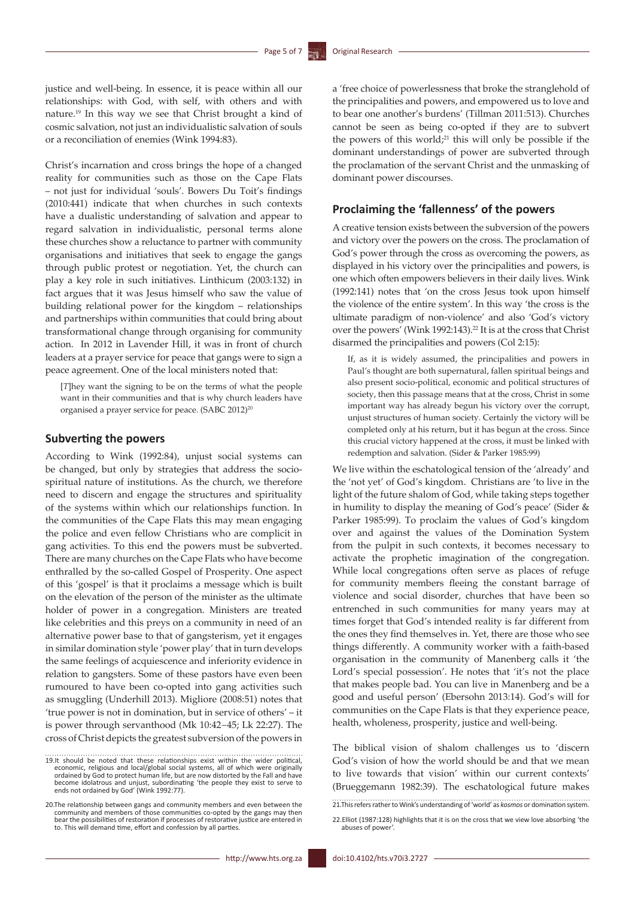justice and well-being. In essence, it is peace within all our relationships: with God, with self, with others and with nature.19 In this way we see that Christ brought a kind of cosmic salvation, not just an individualistic salvation of souls or a reconciliation of enemies (Wink 1994:83).

Christ's incarnation and cross brings the hope of a changed reality for communities such as those on the Cape Flats – not just for individual 'souls'. Bowers Du Toit's findings (2010:441) indicate that when churches in such contexts have a dualistic understanding of salvation and appear to regard salvation in individualistic, personal terms alone these churches show a reluctance to partner with community organisations and initiatives that seek to engage the gangs through public protest or negotiation. Yet, the church can play a key role in such initiatives. Linthicum (2003:132) in fact argues that it was Jesus himself who saw the value of building relational power for the kingdom – relationships and partnerships within communities that could bring about transformational change through organising for community action. In 2012 in Lavender Hill, it was in front of church leaders at a prayer service for peace that gangs were to sign a peace agreement. One of the local ministers noted that:

[*T*]hey want the signing to be on the terms of what the people want in their communities and that is why church leaders have organised a prayer service for peace. (SABC 2012)<sup>20</sup>

#### **Subverting the powers**

According to Wink (1992:84), unjust social systems can be changed, but only by strategies that address the sociospiritual nature of institutions. As the church, we therefore need to discern and engage the structures and spirituality of the systems within which our relationships function. In the communities of the Cape Flats this may mean engaging the police and even fellow Christians who are complicit in gang activities. To this end the powers must be subverted. There are many churches on the Cape Flats who have become enthralled by the so-called Gospel of Prosperity. One aspect of this 'gospel' is that it proclaims a message which is built on the elevation of the person of the minister as the ultimate holder of power in a congregation. Ministers are treated like celebrities and this preys on a community in need of an alternative power base to that of gangsterism, yet it engages in similar domination style 'power play' that in turn develops the same feelings of acquiescence and inferiority evidence in relation to gangsters. Some of these pastors have even been rumoured to have been co-opted into gang activities such as smuggling (Underhill 2013). Migliore (2008:51) notes that 'true power is not in domination, but in service of others' – it is power through servanthood (Mk 10:42−45; Lk 22:27). The cross of Christ depicts the greatest subversion of the powers in

a 'free choice of powerlessness that broke the stranglehold of the principalities and powers, and empowered us to love and to bear one another's burdens' (Tillman 2011:513). Churches cannot be seen as being co-opted if they are to subvert the powers of this world;<sup>21</sup> this will only be possible if the dominant understandings of power are subverted through the proclamation of the servant Christ and the unmasking of dominant power discourses.

#### **Proclaiming the 'fallenness' of the powers**

A creative tension exists between the subversion of the powers and victory over the powers on the cross. The proclamation of God's power through the cross as overcoming the powers, as displayed in his victory over the principalities and powers, is one which often empowers believers in their daily lives. Wink (1992:141) notes that 'on the cross Jesus took upon himself the violence of the entire system'. In this way 'the cross is the ultimate paradigm of non-violence' and also 'God's victory over the powers' (Wink 1992:143).<sup>22</sup> It is at the cross that Christ disarmed the principalities and powers (Col 2:15):

If, as it is widely assumed, the principalities and powers in Paul's thought are both supernatural, fallen spiritual beings and also present socio-political, economic and political structures of society, then this passage means that at the cross, Christ in some important way has already begun his victory over the corrupt, unjust structures of human society. Certainly the victory will be completed only at his return, but it has begun at the cross. Since this crucial victory happened at the cross, it must be linked with redemption and salvation. (Sider & Parker 1985:99)

We live within the eschatological tension of the 'already' and the 'not yet' of God's kingdom. Christians are 'to live in the light of the future shalom of God, while taking steps together in humility to display the meaning of God's peace' (Sider & Parker 1985:99). To proclaim the values of God's kingdom over and against the values of the Domination System from the pulpit in such contexts, it becomes necessary to activate the prophetic imagination of the congregation. While local congregations often serve as places of refuge for community members fleeing the constant barrage of violence and social disorder, churches that have been so entrenched in such communities for many years may at times forget that God's intended reality is far different from the ones they find themselves in. Yet, there are those who see things differently. A community worker with a faith-based organisation in the community of Manenberg calls it 'the Lord's special possession'. He notes that 'it's not the place that makes people bad. You can live in Manenberg and be a good and useful person' (Ebersohn 2013:14). God's will for communities on the Cape Flats is that they experience peace, health, wholeness, prosperity, justice and well-being.

The biblical vision of shalom challenges us to 'discern God's vision of how the world should be and that we mean to live towards that vision' within our current contexts' (Brueggemann 1982:39). The eschatological future makes

21.This refers rather to Wink's understanding of 'world' as *kosmos* or domination system.

<sup>19.</sup>It should be noted that these relationships exist within the wider political,<br>conomic, religious and local/global social systems, all of which were originally<br>ordained by God to protect human life, but are now distorted become idolatrous and unjust, subordinating 'the people they exist to serve to ends not ordained by God' (Wink 1992:77).

<sup>20.</sup>The relationship between gangs and community members and even between the<br>community and members of those communities co-opted by the gangs may then<br>bear the possibilities of restoration if processes of restorative justi to. This will demand time, effort and confession by all parties.

<sup>22.</sup>Elliot (1987:128) highlights that it is on the cross that we view love absorbing 'the abuses of power'.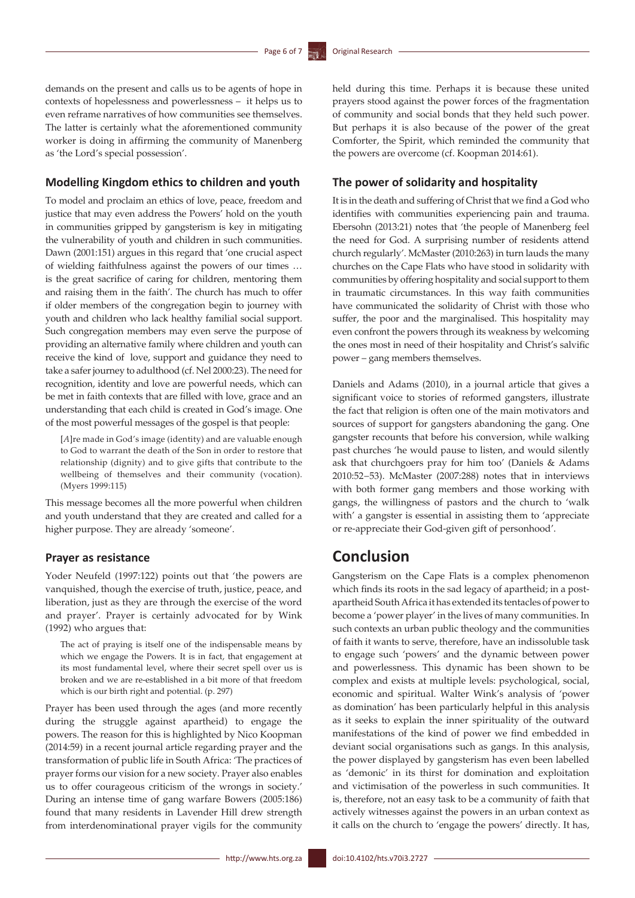demands on the present and calls us to be agents of hope in contexts of hopelessness and powerlessness – it helps us to even reframe narratives of how communities see themselves. The latter is certainly what the aforementioned community worker is doing in affirming the community of Manenberg as 'the Lord's special possession'.

### **Modelling Kingdom ethics to children and youth**

To model and proclaim an ethics of love, peace, freedom and justice that may even address the Powers' hold on the youth in communities gripped by gangsterism is key in mitigating the vulnerability of youth and children in such communities. Dawn (2001:151) argues in this regard that 'one crucial aspect of wielding faithfulness against the powers of our times … is the great sacrifice of caring for children, mentoring them and raising them in the faith'. The church has much to offer if older members of the congregation begin to journey with youth and children who lack healthy familial social support. Such congregation members may even serve the purpose of providing an alternative family where children and youth can receive the kind of love, support and guidance they need to take a safer journey to adulthood (cf. Nel 2000:23). The need for recognition, identity and love are powerful needs, which can be met in faith contexts that are filled with love, grace and an understanding that each child is created in God's image. One of the most powerful messages of the gospel is that people:

[*A*]re made in God's image (identity) and are valuable enough to God to warrant the death of the Son in order to restore that relationship (dignity) and to give gifts that contribute to the wellbeing of themselves and their community (vocation). (Myers 1999:115)

This message becomes all the more powerful when children and youth understand that they are created and called for a higher purpose. They are already 'someone'.

#### **Prayer as resistance**

Yoder Neufeld (1997:122) points out that 'the powers are vanquished, though the exercise of truth, justice, peace, and liberation, just as they are through the exercise of the word and prayer'. Prayer is certainly advocated for by Wink (1992) who argues that:

The act of praying is itself one of the indispensable means by which we engage the Powers. It is in fact, that engagement at its most fundamental level, where their secret spell over us is broken and we are re-established in a bit more of that freedom which is our birth right and potential. (p. 297)

Prayer has been used through the ages (and more recently during the struggle against apartheid) to engage the powers. The reason for this is highlighted by Nico Koopman (2014:59) in a recent journal article regarding prayer and the transformation of public life in South Africa: 'The practices of prayer forms our vision for a new society. Prayer also enables us to offer courageous criticism of the wrongs in society.' During an intense time of gang warfare Bowers (2005:186) found that many residents in Lavender Hill drew strength from interdenominational prayer vigils for the community

held during this time. Perhaps it is because these united prayers stood against the power forces of the fragmentation of community and social bonds that they held such power. But perhaps it is also because of the power of the great Comforter, the Spirit, which reminded the community that the powers are overcome (cf. Koopman 2014:61).

#### **The power of solidarity and hospitality**

It is in the death and suffering of Christ that we find a God who identifies with communities experiencing pain and trauma. Ebersohn (2013:21) notes that 'the people of Manenberg feel the need for God. A surprising number of residents attend church regularly'. McMaster (2010:263) in turn lauds the many churches on the Cape Flats who have stood in solidarity with communities by offering hospitality and social support to them in traumatic circumstances. In this way faith communities have communicated the solidarity of Christ with those who suffer, the poor and the marginalised. This hospitality may even confront the powers through its weakness by welcoming the ones most in need of their hospitality and Christ's salvific power – gang members themselves.

Daniels and Adams (2010), in a journal article that gives a significant voice to stories of reformed gangsters, illustrate the fact that religion is often one of the main motivators and sources of support for gangsters abandoning the gang. One gangster recounts that before his conversion, while walking past churches 'he would pause to listen, and would silently ask that churchgoers pray for him too' (Daniels & Adams 2010:52−53). McMaster (2007:288) notes that in interviews with both former gang members and those working with gangs, the willingness of pastors and the church to 'walk with' a gangster is essential in assisting them to 'appreciate or re-appreciate their God-given gift of personhood'.

### **Conclusion**

Gangsterism on the Cape Flats is a complex phenomenon which finds its roots in the sad legacy of apartheid; in a postapartheid South Africa it has extended its tentacles of power to become a 'power player' in the lives of many communities. In such contexts an urban public theology and the communities of faith it wants to serve, therefore, have an indissoluble task to engage such 'powers' and the dynamic between power and powerlessness. This dynamic has been shown to be complex and exists at multiple levels: psychological, social, economic and spiritual. Walter Wink's analysis of 'power as domination' has been particularly helpful in this analysis as it seeks to explain the inner spirituality of the outward manifestations of the kind of power we find embedded in deviant social organisations such as gangs. In this analysis, the power displayed by gangsterism has even been labelled as 'demonic' in its thirst for domination and exploitation and victimisation of the powerless in such communities. It is, therefore, not an easy task to be a community of faith that actively witnesses against the powers in an urban context as it calls on the church to 'engage the powers' directly. It has,